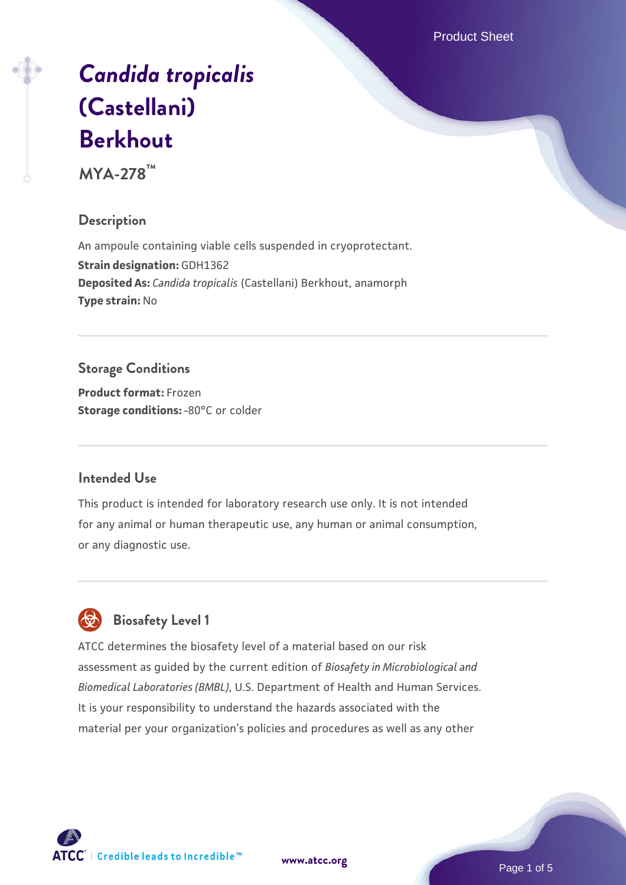Product Sheet

# *[Candida tropicalis](https://www.atcc.org/products/mya-278)* **[\(Castellani\)](https://www.atcc.org/products/mya-278) [Berkhout](https://www.atcc.org/products/mya-278)**

**MYA-278™**

# **Description**

An ampoule containing viable cells suspended in cryoprotectant. **Strain designation:** GDH1362 **Deposited As:** *Candida tropicalis* (Castellani) Berkhout, anamorph **Type strain:** No

# **Storage Conditions**

**Product format:** Frozen **Storage conditions: -80°C** or colder

## **Intended Use**

This product is intended for laboratory research use only. It is not intended for any animal or human therapeutic use, any human or animal consumption, or any diagnostic use.



# **Biosafety Level 1**

ATCC determines the biosafety level of a material based on our risk assessment as guided by the current edition of *Biosafety in Microbiological and Biomedical Laboratories (BMBL)*, U.S. Department of Health and Human Services. It is your responsibility to understand the hazards associated with the material per your organization's policies and procedures as well as any other

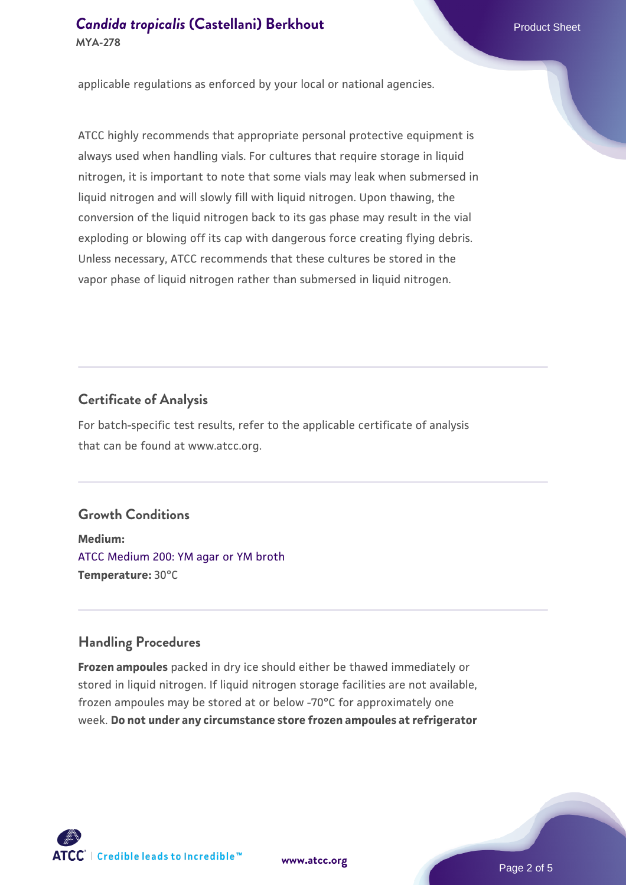applicable regulations as enforced by your local or national agencies.

ATCC highly recommends that appropriate personal protective equipment is always used when handling vials. For cultures that require storage in liquid nitrogen, it is important to note that some vials may leak when submersed in liquid nitrogen and will slowly fill with liquid nitrogen. Upon thawing, the conversion of the liquid nitrogen back to its gas phase may result in the vial exploding or blowing off its cap with dangerous force creating flying debris. Unless necessary, ATCC recommends that these cultures be stored in the vapor phase of liquid nitrogen rather than submersed in liquid nitrogen.

#### **Certificate of Analysis**

For batch-specific test results, refer to the applicable certificate of analysis that can be found at www.atcc.org.

# **Growth Conditions**

**Medium:**  [ATCC Medium 200: YM agar or YM broth](https://www.atcc.org/-/media/product-assets/documents/microbial-media-formulations/2/0/0/atcc-medium-200.pdf?rev=ac40fd74dc13433a809367b0b9da30fc) **Temperature:** 30°C

#### **Handling Procedures**

**Frozen ampoules** packed in dry ice should either be thawed immediately or stored in liquid nitrogen. If liquid nitrogen storage facilities are not available, frozen ampoules may be stored at or below -70°C for approximately one week. **Do not under any circumstance store frozen ampoules at refrigerator**

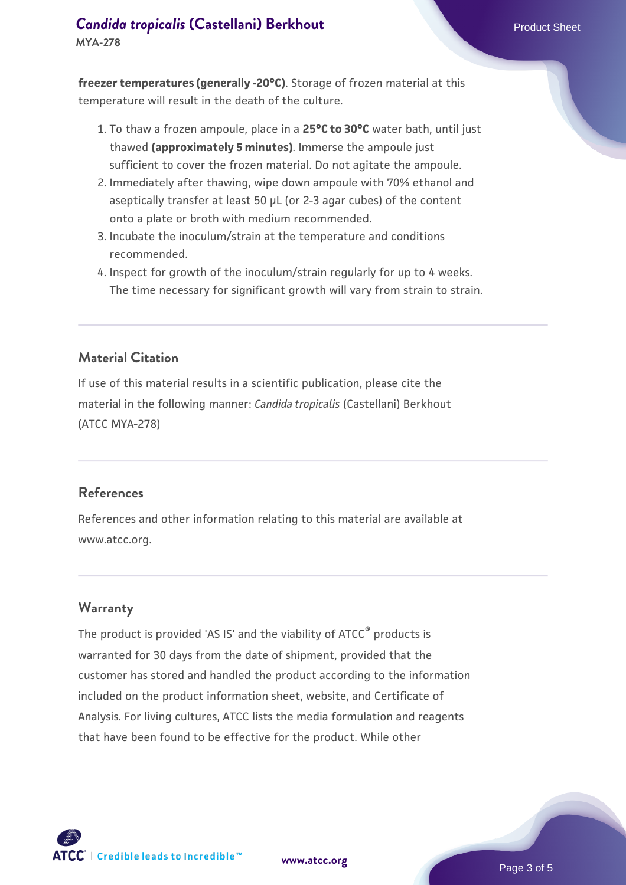#### **[Candida tropicalis](https://www.atcc.org/products/mya-278) [\(Castellani\) Berkhout](https://www.atcc.org/products/mya-278) Product Sheet Product Sheet MYA-278**

**freezer temperatures (generally -20°C)**. Storage of frozen material at this temperature will result in the death of the culture.

- 1. To thaw a frozen ampoule, place in a **25°C to 30°C** water bath, until just thawed **(approximately 5 minutes)**. Immerse the ampoule just sufficient to cover the frozen material. Do not agitate the ampoule.
- 2. Immediately after thawing, wipe down ampoule with 70% ethanol and aseptically transfer at least 50 µL (or 2-3 agar cubes) of the content onto a plate or broth with medium recommended.
- 3. Incubate the inoculum/strain at the temperature and conditions recommended.
- 4. Inspect for growth of the inoculum/strain regularly for up to 4 weeks. The time necessary for significant growth will vary from strain to strain.

# **Material Citation**

If use of this material results in a scientific publication, please cite the material in the following manner: *Candida tropicalis* (Castellani) Berkhout (ATCC MYA-278)

#### **References**

References and other information relating to this material are available at www.atcc.org.

#### **Warranty**

The product is provided 'AS IS' and the viability of ATCC<sup>®</sup> products is warranted for 30 days from the date of shipment, provided that the customer has stored and handled the product according to the information included on the product information sheet, website, and Certificate of Analysis. For living cultures, ATCC lists the media formulation and reagents that have been found to be effective for the product. While other



**[www.atcc.org](http://www.atcc.org)**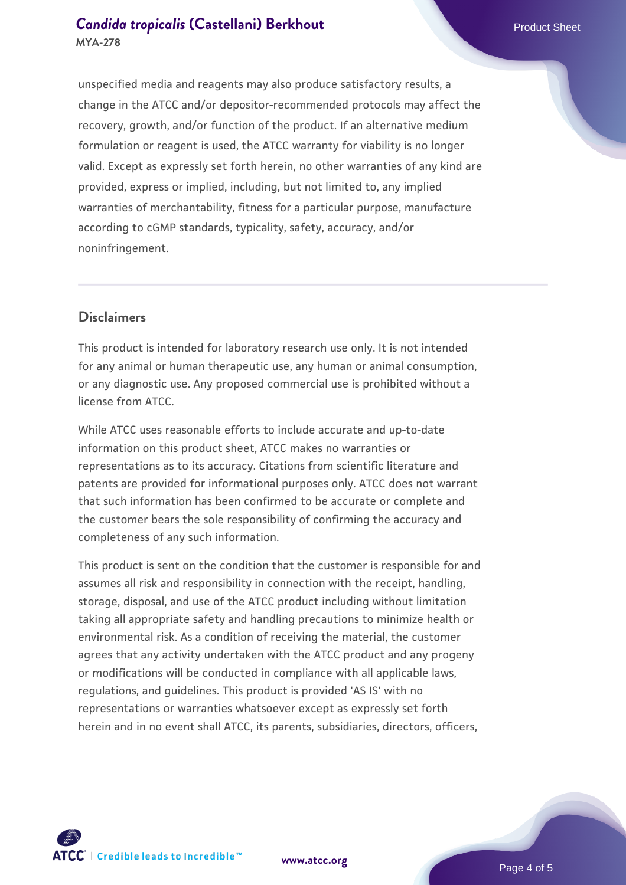unspecified media and reagents may also produce satisfactory results, a change in the ATCC and/or depositor-recommended protocols may affect the recovery, growth, and/or function of the product. If an alternative medium formulation or reagent is used, the ATCC warranty for viability is no longer valid. Except as expressly set forth herein, no other warranties of any kind are provided, express or implied, including, but not limited to, any implied warranties of merchantability, fitness for a particular purpose, manufacture according to cGMP standards, typicality, safety, accuracy, and/or noninfringement.

### **Disclaimers**

This product is intended for laboratory research use only. It is not intended for any animal or human therapeutic use, any human or animal consumption, or any diagnostic use. Any proposed commercial use is prohibited without a license from ATCC.

While ATCC uses reasonable efforts to include accurate and up-to-date information on this product sheet, ATCC makes no warranties or representations as to its accuracy. Citations from scientific literature and patents are provided for informational purposes only. ATCC does not warrant that such information has been confirmed to be accurate or complete and the customer bears the sole responsibility of confirming the accuracy and completeness of any such information.

This product is sent on the condition that the customer is responsible for and assumes all risk and responsibility in connection with the receipt, handling, storage, disposal, and use of the ATCC product including without limitation taking all appropriate safety and handling precautions to minimize health or environmental risk. As a condition of receiving the material, the customer agrees that any activity undertaken with the ATCC product and any progeny or modifications will be conducted in compliance with all applicable laws, regulations, and guidelines. This product is provided 'AS IS' with no representations or warranties whatsoever except as expressly set forth herein and in no event shall ATCC, its parents, subsidiaries, directors, officers,





**[www.atcc.org](http://www.atcc.org)**